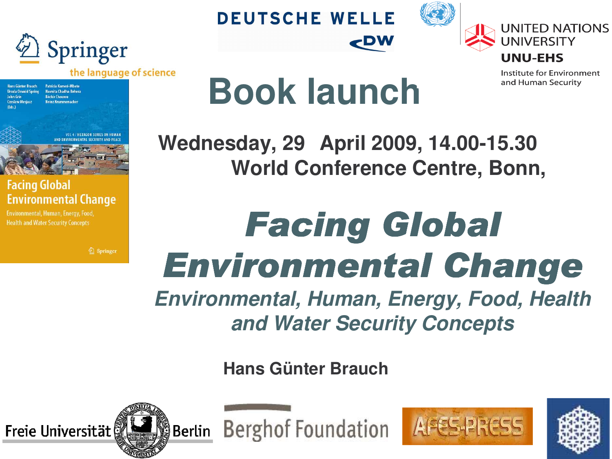

**DEUTSCHE WELLE** 





Institute for Environment and Human Security

Patricia Kameri-Mbote **Hans Günter Rrauch Ursula Oswald Soring** Navnita Chadha Behera Réchir Choumu lainz Krummanachar

> **OLA/HEXAGON SERIES ON HUMA IND ENVIDONMENTAL SECURITY AND REACH**



#### **Facing Global Environmental Change**

Environmental, Human, Energy, Food, **Health and Water Security Concepts** 

2 Springer

# **Book launch**

**Wednesday, 29 April 2009, 14.00-15.30 World Conference Centre, Bonn,**

**CDW** 

## Facing Global Environmental Change *Environmental, Human, Energy, Food, Health*

*and Water Security Concepts*

**Hans Günter Brauch**



**Berghof Foundation** 



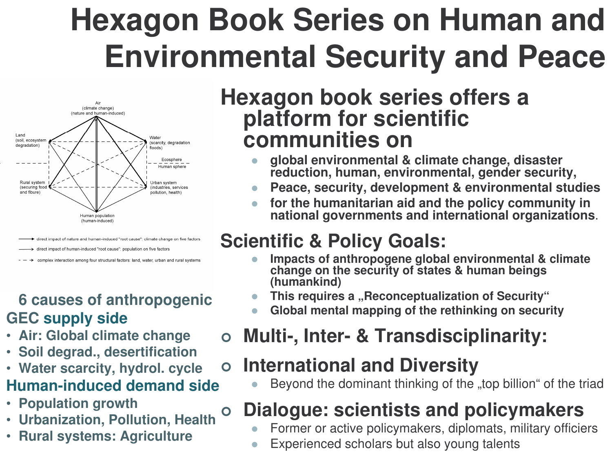#### **Hexagon Book Series on Human and iEnvironmental Security and Peace ili**



#### direct impact of nature and human-induced "root cause": climate change on five factors rect impact of human-induced "root cause": population on five factors

complex interaction among four structural factors: land, water, urban and rural systems

### **6** causes of anthropogenic **GEC supply side**

- **•** Air: Global climate change
- **Soil degrad., desertification**
- Water scarcity, hydrol. cycle

### **Human-induceddemandside**

- **P o p ula tio n g r o w t h**
- $\bullet$ • **U r b a niz a tio n, P ollu tio n, H e alt h**
- **Rural systems: Agriculture**

### Hexagon book series offers a **platform for scientific c ommunitie s on**

- $\bullet$ global environmental & climate change, disaster reduction, human, environmental, gender security,
- $\bullet$ Peace, security, development & environmental studies
- $\bullet$ • for the humanitarian aid and the policy community in national governments and international organizations.

### **Scientific & Policy Goals:**

- $\bullet$ ● Impacts of anthropogene global environmental & climate<br>change on the security of states & human beings **(h umankind)**
- $\bullet$ This requires a "Reconceptualization of Security"
- $\bullet$ **Global mental map pin g of the rethinking onsecurity**
- $\bullet$ **Multi-, Inter- & Transdisciplinarity:**

#### $\mathbf O$ **o** International and Diversity

 $\bullet$ Beyond the dominant thinking of the "top billion" of the triad

## Dialogue: scientists and policymakers

- $\bullet$ Former or active policymakers, diplomats, military officiers
- $\bullet$ Experienced scholars but also young talents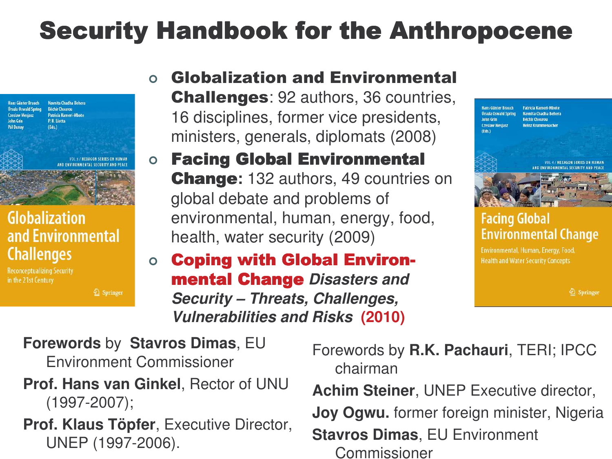## Security Handbook for the Anthropocene



### **Globalization** and Environmental **Challenges**

**Reconceptualizing Security** in the 21st Century

2 Springer

### $\bullet$ ○ Globalization and Environmental Challenges: 92 authors, 36 countries, 16 disciplines, former vice presidents, ministers, generals, diplomats (2008)

### $\overline{O}$ ○ Facing Global Environmental **Change:** 132 authors, 49 countries on global debate and problems of environmental, human, energy, food, health, water security (2009)

#### $\bullet$ ○ Coping with Global Environ**mental Change Disasters and** *Security – Threats, Challenges, Vulnerabilities and Risks* **(2010)**



### **Facing Global Environmental Change**

Environmental, Human, Energy, Food, **Health and Water Security Concepts** 

2 Springer

**Forewords** by **Stavros Dimas**, EU Environment Commissioner

### **Prof. Hans van Ginkel**, Rector of UNU (1997-2007);

**Prof. Klaus Töpfer**, Executive Director, UNEP (1997-2006).

Forewords by **R.K. Pachauri**, TERI; IPCC chairman

**Achim Steiner**, UNEP Executive director,

**Joy Ogwu.** former foreign minister, Nigeria

**Stavros Dimas**, EU Environment Commissioner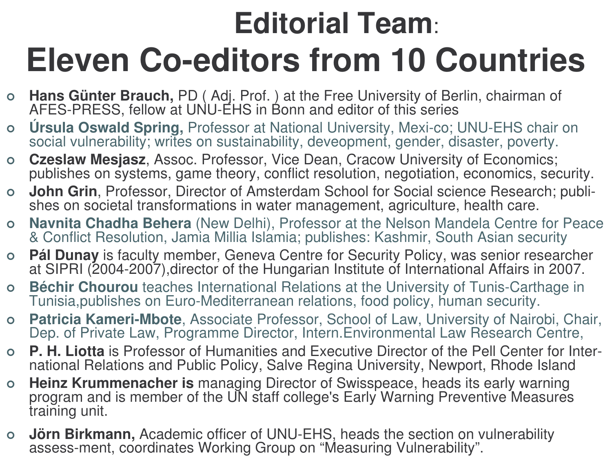#### **Editorial Team**: **iiEleven Co-editors from 10 Countries ii**

- **Hans Günter Brauch, PD** (Adj. Prof. ) at the Free University of Berlin, chairman of AFES-PRESS, fellow at UNU-EHS in Bonn and editor of this series
- $\bullet$ **Úrsula Oswald Spring, Professor at National University, Mexi-co; UNU-EHS chair on** social vulnerability; writes on sustainability, deveopment, gender, disaster, poverty.
- $\bullet$ **Czeslaw Mesjasz**, Assoc. Professor, Vice Dean, Cracow University of Economics; publishes on systems, game theory, conflict resolution, negotiation, economics, security.
- $\bullet$ **John Grin, Professor, Director of Amsterdam School for Social science Research; publi**shes on societal transformations in water management, agriculture, health care.
- $\bullet$ Navnita Chadha Behera (New Delhi), Professor at the Nelson Mandela Centre for Peace & Conflict Resolution, Jamia Millia Islamia; publishes: Kashmir, South Asian security
- $\bullet$ **Pál Dunay** is faculty member, Geneva Centre for Security Policy, was senior researcher at SIPRI (2004-2007),director of the Hungarian Institute of International Affairs in 2007.
- $\bullet$ **Béchir Chourou** teaches International Relations at the University of Tunis-Carthage in Tunisia,publishes on Euro-Mediterranean relations, food policy, human security.
- $\bullet$ **Patricia Kameri-Mbote**, Associate Professor, School of Law, University of Nairobi, Chair, Dep. of Private Law, Programme Director, Intern.Environmental Law Research Centre,
- $\overline{O}$ **P. H. Liotta** is Professor of Humanities and Executive Director of the Pell Center for International Relations and Public Policy, Salve Regina University, Newport, Rhode Island
- $\overline{O}$ **Heinz Krummenacher is** managing Director of Swisspeace, heads its early warning program and is member of the UN staff college's Early Warning Preventive Measures training unit.
- $\bullet$ **Jörn Birkmann, Academic officer of UNU-EHS, heads the section on vulnerability** assess-ment, coordinates Working Group on "Measuring Vulnerability".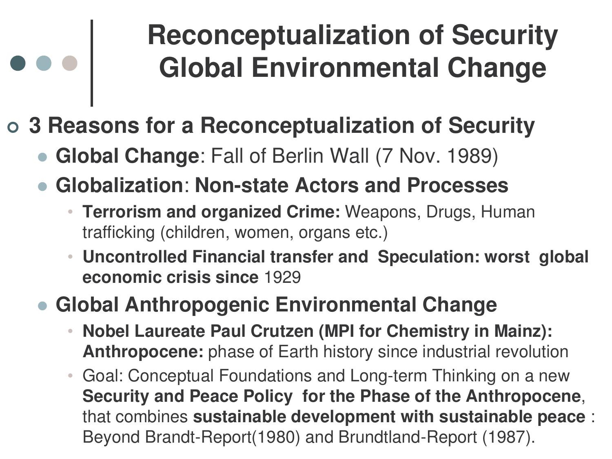## **Reconceptualization of Security Global Environmental Change**

### - **3 Reasons for <sup>a</sup> Reconceptualization of Security**

- $\bullet$ **Global Change**: Fall of Berlin Wall (7 Nov. 1989)
- $\bullet$  **Globalization**: **Non-state Actors and Processes**
	- **Terrorism and organized Crime:** Weapons, Drugs, Human trafficking (children, women, organs etc.)
	- • **Uncontrolled Financial transfer and Speculation: worst global economic crisis since** 1929

#### $\bullet$ **Global Anthropogenic Environmental Change**

- • **Nobel Laureate Paul Crutzen (MPI for Chemistry in Mainz): Anthropocene:** phase of Earth history since industrial revolution
- Goal: Conceptual Foundations and Long-term Thinking on <sup>a</sup> new **Security and Peace Policy for the Phase of the Anthropocene**, that combines **sustainable development with sustainable peace** : Beyond Brandt-Report(1980) and Brundtland-Report (1987).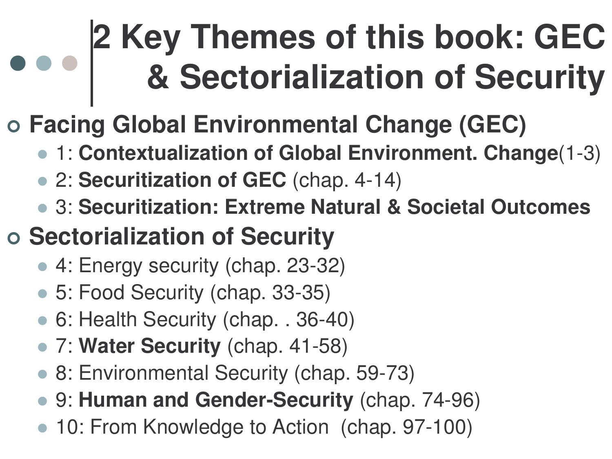# **2 Key Themes of this book: GEC & Sectorialization of Security**

## - **Facing Global Environmental Change (GEC)**

- 1: **Contextualization of Global Environment. Change**(1-3)
- 2: **Securitization of GEC** (chap. 4-14)
- 3: **Securitization: Extreme Natural & Societal Outcomes**

## - **Sectorialization of Security**

- 4: Energy security (chap. 23-32)
- 5: Food Security (chap. 33-35)
- 6: Health Security (chap. . 36-40)
- 7: **Water Security** (chap. 41-58)
- 8: Environmental Security (chap. 59-73)
- 9: **Human and Gender-Security** (chap. 74-96)
- 10: From Knowledge to Action (chap. 97-100)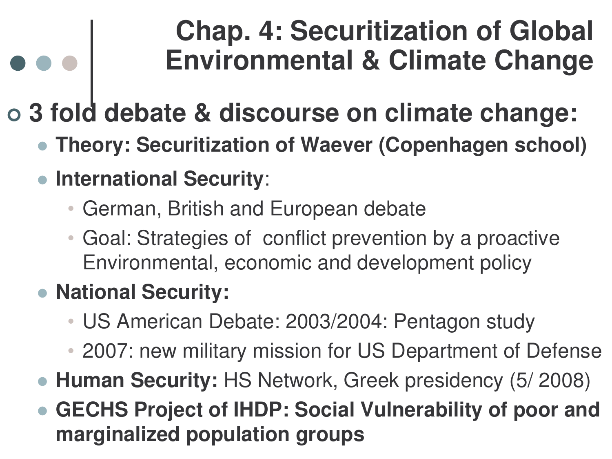## **Chap. 4: Securitization of Global Environmental & Climate Change**

## - **3 fold debate & discourse on climate change:**

- $\bullet$ **Theory: Securitization of Waever (Copenhagen school)**
- **International Security**:
	- German, British and European debate
	- • Goal: Strategies of conflict prevention by <sup>a</sup> proactive Environmental, economic and development policy
- **National Security:**
	- $\bullet$ US American Debate: 2003/2004: Pentagon study
	- 2007: new military mission for US Department of Defense
- **Human Security:** HS Network, Greek presidency (5/ 2008)
- $\bullet$  **GECHS Project of IHDP: Social Vulnerability of poor and marginalized population groups**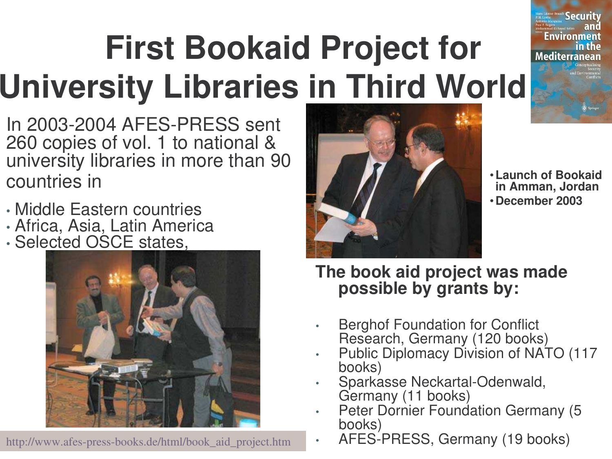## **First Bookaid Project for** Mediterranean **University Libraries in Third World**

- In 2003-2004 AFES-PRESS sent 260 copies of vol. 1 to national & university libraries in more than 90 countries in
- Middle Eastern countries
- Africa, Asia, Latin America
- Selected OSCE states,



http://www.afes-press-books.de/html/book\_aid\_project.htm



•**Launch of Bookaid in Amman, Jordan** •**December 2003**

Security

Fnvironment

### **The book aid project was made possible by grants by:**

- •**Berghof Foundation for Conflict** Research, Germany (120 books)
- • Public Diplomacy Division of NATO (117 books)
- •Sparkasse Neckartal-Odenwald, Germany (11 books)
- •Peter Dornier Foundation Germany (5
- books)<br>AFES-PRESS, Germany (19 books)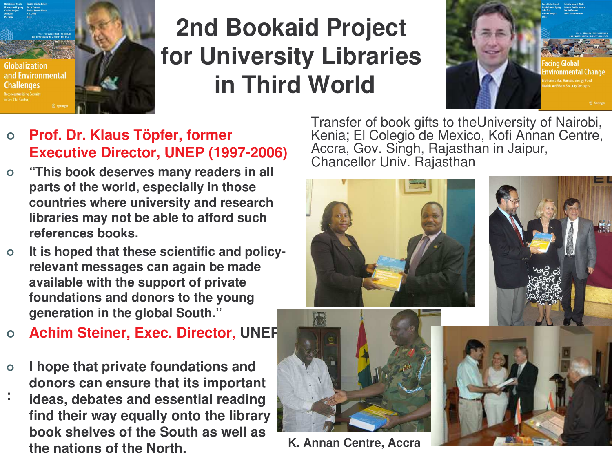

## **2nd Bookaid Project for University Libraries in Third World**



- $\bullet$  **Prof. Dr. Klaus Töpfer, former Executive Director, UNEP (1997-2006)**
- $\circ$  **"This book deserves many readers in all parts of the world, especially in those countries where university and research libraries may not be able to afford such references books.**
- $\overline{O}$  **It is hoped that these scientific and policyrelevant messages can again be made available with the support of private foundations and donors to the young generation in the global South."**
- $\Omega$ **Achim Steiner, Exec. Director**, **UNEP**
- $\overline{O}$  **I hope that private foundations and donors can ensure that its important**
- **:ideas, debates and essential reading find their way equally onto the library book shelves of the South as well as the nations of the North.**

Transfer of book gifts to theUniversity of Nairobi, Kenia; El Colegio de Mexico, Kofi Annan Centre, Accra, Gov. Singh, Rajasthan in Jaipur, Chancellor Univ. Rajasthan

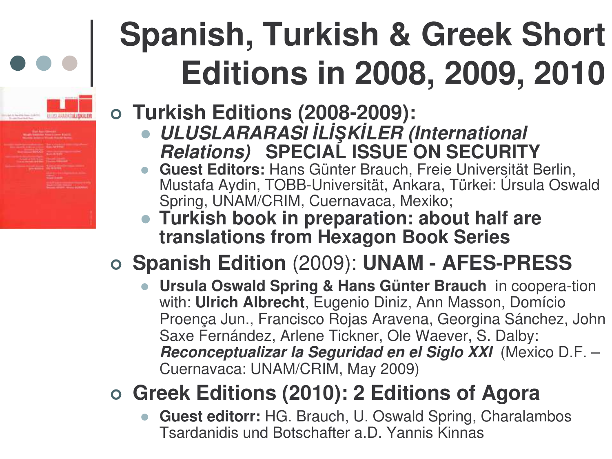#### Spanish, Turkish & Greek Short **ii**Editions in 2008, 2009, 2010 **iii**

### - **T u r kis h E ditio n s ( 2 0 0 8 - 2 0 0 9 ):**

- $\bullet$ *ULUSLARARASI İLİŞKİLER (International Relations)* SPECIAL ISSUE ON SECURITY
- Guest Editors: Hans Günter Brauch, Freie Universität Berlin, Mustafa Aydin, TOBB-Universität, Ankara, Türkei: Úrsula Oswald Spring, UNAM/CRIM, Cuernavaca, Mexiko;
- Turkish book in preparation: about half are translations from Hexagon Book Series

## o Spanish Edition (2009): UNAM - AFES-PRESS

 $\bullet$ **Ursula Oswald Spring & Hans Günter Brauch in coopera-tion** with: **Ulrich Albrecht**, Eugenio Diniz, Ann Masson, Domício Proença Jun., Francisco Rojas Aravena, Georgina Sánchez, John Saxe Fernández, Arlene Tickner, Ole Waever, S. Dalby: Reconceptualizar la Seguridad en el Siglo XXI (Mexico D.F. -Cuernavaca: UNAM/CRIM, May 2009)

## o Greek Editions (2010): 2 Editions of Agora

 $\bullet$ **Guest editorr:** HG. Brauch, U. Oswald Spring, Charalambos Tsardanidis und Botschafter a.D. Yannis Kinnas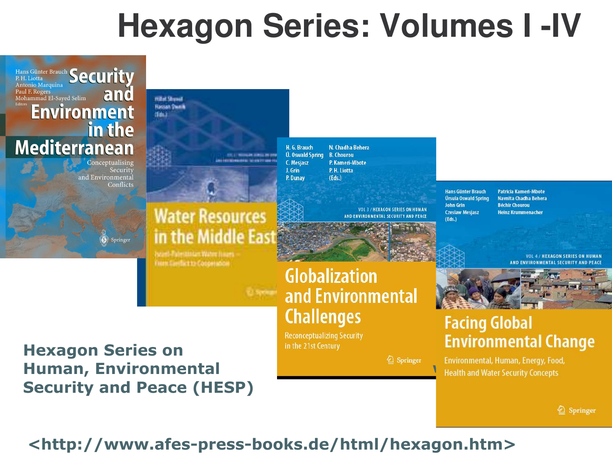# **Hexagon Series: Volumes I -IV**



**Human, Environmental Security and Peace (HESP)** 

#### Environmental, Human, Energy, Food, Health and Water Security Concepts

2 Springer

### <http://www.afes-press-books.de/html/hexagon.htm>